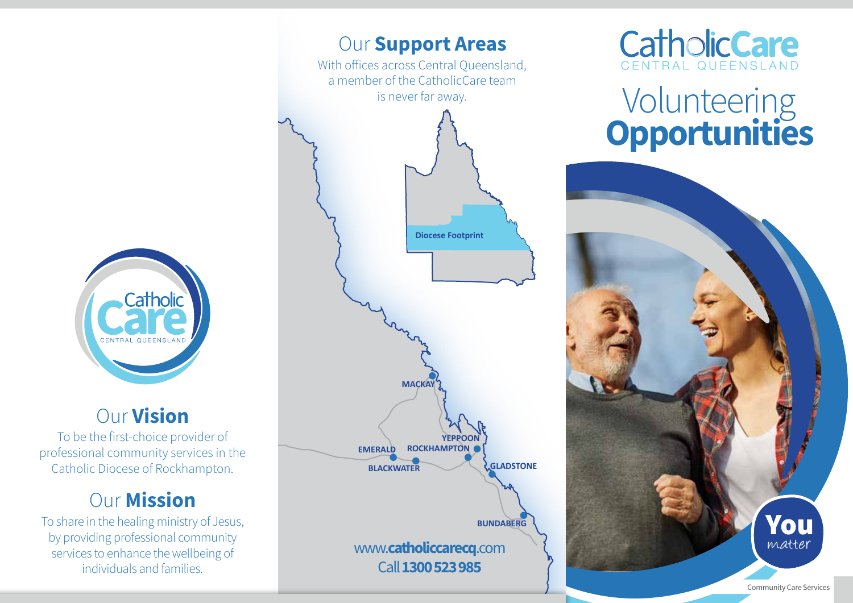

## Our Vision

To be the first-choice provider of professional community services in the Catholic Diocese of Rockhampton.

# **Our Mission**

To share in the healing ministry of Jesus, by providing professional community services to enhance the wellbeing of individuals and families.





# **Volunteering Opportunities**